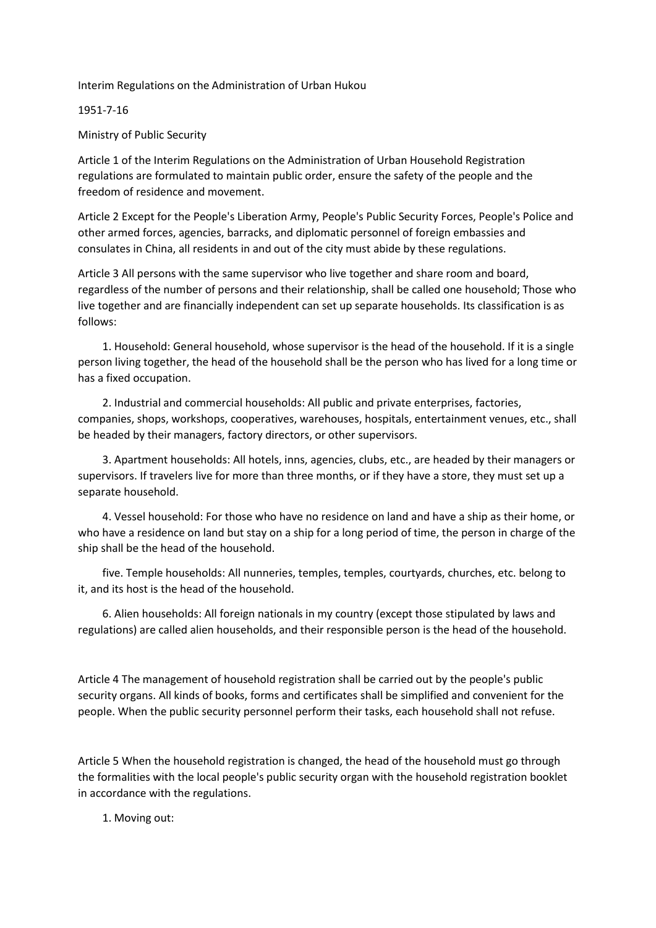## Interim Regulations on the Administration of Urban Hukou

## 1951-7-16

Ministry of Public Security

Article 1 of the Interim Regulations on the Administration of Urban Household Registration regulations are formulated to maintain public order, ensure the safety of the people and the freedom of residence and movement.

Article 2 Except for the People's Liberation Army, People's Public Security Forces, People's Police and other armed forces, agencies, barracks, and diplomatic personnel of foreign embassies and consulates in China, all residents in and out of the city must abide by these regulations.

Article 3 All persons with the same supervisor who live together and share room and board, regardless of the number of persons and their relationship, shall be called one household; Those who live together and are financially independent can set up separate households. Its classification is as follows:

 1. Household: General household, whose supervisor is the head of the household. If it is a single person living together, the head of the household shall be the person who has lived for a long time or has a fixed occupation.

 2. Industrial and commercial households: All public and private enterprises, factories, companies, shops, workshops, cooperatives, warehouses, hospitals, entertainment venues, etc., shall be headed by their managers, factory directors, or other supervisors.

 3. Apartment households: All hotels, inns, agencies, clubs, etc., are headed by their managers or supervisors. If travelers live for more than three months, or if they have a store, they must set up a separate household.

 4. Vessel household: For those who have no residence on land and have a ship as their home, or who have a residence on land but stay on a ship for a long period of time, the person in charge of the ship shall be the head of the household.

 five. Temple households: All nunneries, temples, temples, courtyards, churches, etc. belong to it, and its host is the head of the household.

 6. Alien households: All foreign nationals in my country (except those stipulated by laws and regulations) are called alien households, and their responsible person is the head of the household.

Article 4 The management of household registration shall be carried out by the people's public security organs. All kinds of books, forms and certificates shall be simplified and convenient for the people. When the public security personnel perform their tasks, each household shall not refuse.

Article 5 When the household registration is changed, the head of the household must go through the formalities with the local people's public security organ with the household registration booklet in accordance with the regulations.

1. Moving out: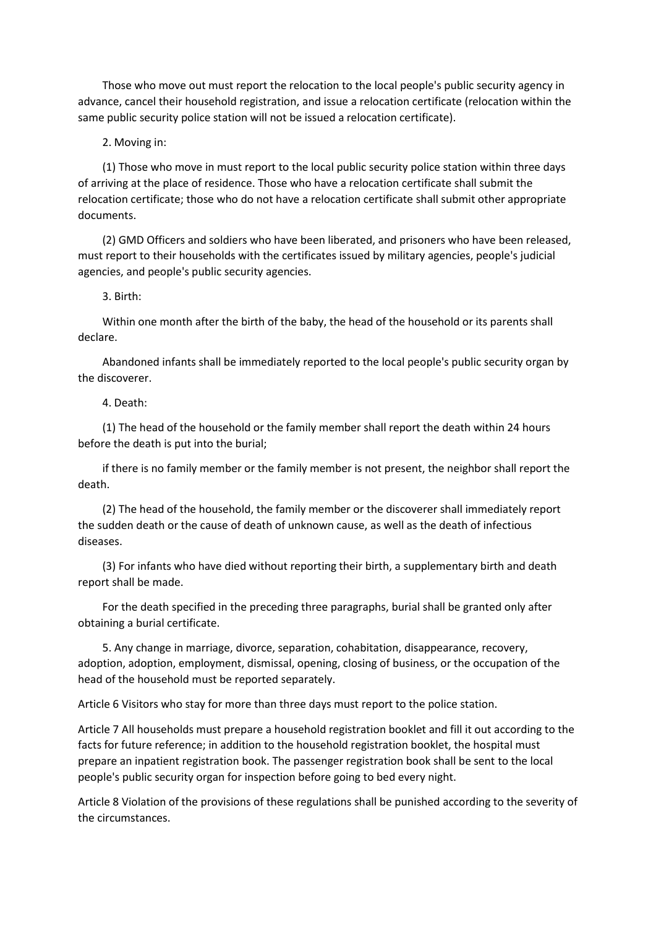Those who move out must report the relocation to the local people's public security agency in advance, cancel their household registration, and issue a relocation certificate (relocation within the same public security police station will not be issued a relocation certificate).

2. Moving in:

 (1) Those who move in must report to the local public security police station within three days of arriving at the place of residence. Those who have a relocation certificate shall submit the relocation certificate; those who do not have a relocation certificate shall submit other appropriate documents.

 (2) GMD Officers and soldiers who have been liberated, and prisoners who have been released, must report to their households with the certificates issued by military agencies, people's judicial agencies, and people's public security agencies.

3. Birth:

 Within one month after the birth of the baby, the head of the household or its parents shall declare.

 Abandoned infants shall be immediately reported to the local people's public security organ by the discoverer.

4. Death:

 (1) The head of the household or the family member shall report the death within 24 hours before the death is put into the burial;

 if there is no family member or the family member is not present, the neighbor shall report the death.

 (2) The head of the household, the family member or the discoverer shall immediately report the sudden death or the cause of death of unknown cause, as well as the death of infectious diseases.

 (3) For infants who have died without reporting their birth, a supplementary birth and death report shall be made.

 For the death specified in the preceding three paragraphs, burial shall be granted only after obtaining a burial certificate.

 5. Any change in marriage, divorce, separation, cohabitation, disappearance, recovery, adoption, adoption, employment, dismissal, opening, closing of business, or the occupation of the head of the household must be reported separately.

Article 6 Visitors who stay for more than three days must report to the police station.

Article 7 All households must prepare a household registration booklet and fill it out according to the facts for future reference; in addition to the household registration booklet, the hospital must prepare an inpatient registration book. The passenger registration book shall be sent to the local people's public security organ for inspection before going to bed every night.

Article 8 Violation of the provisions of these regulations shall be punished according to the severity of the circumstances.